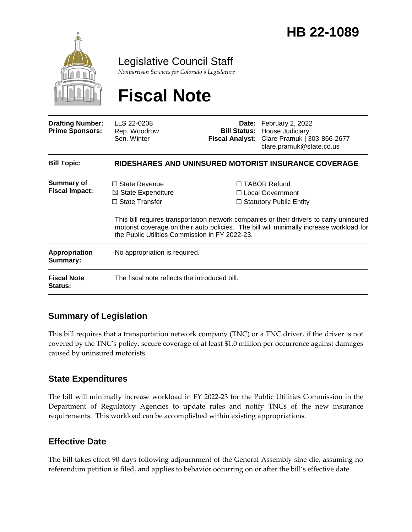

Legislative Council Staff

*Nonpartisan Services for Colorado's Legislature*

# **Fiscal Note**

| <b>Drafting Number:</b><br><b>Prime Sponsors:</b> | LLS 22-0208<br>Rep. Woodrow<br>Sen. Winter                                                                                       |  | Date: February 2, 2022<br><b>Bill Status: House Judiciary</b><br>Fiscal Analyst: Clare Pramuk   303-866-2677<br>clare.pramuk@state.co.us                                                                                                                          |  |
|---------------------------------------------------|----------------------------------------------------------------------------------------------------------------------------------|--|-------------------------------------------------------------------------------------------------------------------------------------------------------------------------------------------------------------------------------------------------------------------|--|
| <b>Bill Topic:</b>                                | <b>RIDESHARES AND UNINSURED MOTORIST INSURANCE COVERAGE</b>                                                                      |  |                                                                                                                                                                                                                                                                   |  |
| <b>Summary of</b><br><b>Fiscal Impact:</b>        | $\Box$ State Revenue<br>$\boxtimes$ State Expenditure<br>$\Box$ State Transfer<br>the Public Utilities Commission in FY 2022-23. |  | □ TABOR Refund<br>$\Box$ Local Government<br>$\Box$ Statutory Public Entity<br>This bill requires transportation network companies or their drivers to carry uninsured<br>motorist coverage on their auto policies. The bill will minimally increase workload for |  |
| Appropriation<br>Summary:                         | No appropriation is required.                                                                                                    |  |                                                                                                                                                                                                                                                                   |  |
| <b>Fiscal Note</b><br><b>Status:</b>              | The fiscal note reflects the introduced bill.                                                                                    |  |                                                                                                                                                                                                                                                                   |  |

### **Summary of Legislation**

This bill requires that a transportation network company (TNC) or a TNC driver, if the driver is not covered by the TNC's policy, secure coverage of at least \$1.0 million per occurrence against damages caused by uninsured motorists.

#### **State Expenditures**

The bill will minimally increase workload in FY 2022-23 for the Public Utilities Commission in the Department of Regulatory Agencies to update rules and notify TNCs of the new insurance requirements. This workload can be accomplished within existing appropriations.

#### **Effective Date**

The bill takes effect 90 days following adjournment of the General Assembly sine die, assuming no referendum petition is filed, and applies to behavior occurring on or after the bill's effective date.